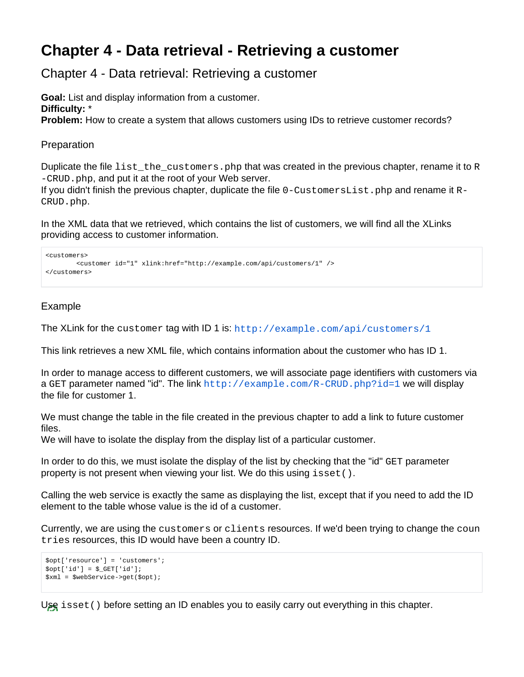## **Chapter 4 - Data retrieval - Retrieving a customer**

Chapter 4 - Data retrieval: Retrieving a customer

**Goal:** List and display information from a customer. **Difficulty:** \* **Problem:** How to create a system that allows customers using IDs to retrieve customer records?

## Preparation

Duplicate the file list the customers. php that was created in the previous chapter, rename it to  $R$ -CRUD.php, and put it at the root of your Web server.

If you didn't finish the previous chapter, duplicate the file  $0$ -CustomersList.php and rename it  $R-$ CRUD.php.

In the XML data that we retrieved, which contains the list of customers, we will find all the XLinks providing access to customer information.

```
<customers>
        <customer id="1" xlink:href="http://example.com/api/customers/1" />
</customers>
```
## Example

The XLink for the customer tag with ID 1 is: <http://example.com/api/customers/1>

This link retrieves a new XML file, which contains information about the customer who has ID 1.

In order to manage access to different customers, we will associate page identifiers with customers via a GET parameter named "id". The link  $http://example.com/R-CRUD.php?id=1$  we will display the file for customer 1.

We must change the table in the file created in the previous chapter to add a link to future customer files.

We will have to isolate the display from the display list of a particular customer.

In order to do this, we must isolate the display of the list by checking that the "id" GET parameter property is not present when viewing your list. We do this using isset().

Calling the web service is exactly the same as displaying the list, except that if you need to add the ID element to the table whose value is the id of a customer.

Currently, we are using the customers or clients resources. If we'd been trying to change the coun tries resources, this ID would have been a country ID.

```
$opt['resource'] = 'customers';
$opt['id'] = $GET['id'];$xml = $webService->get($opt);
```
Use isset() before setting an ID enables you to easily carry out everything in this chapter.